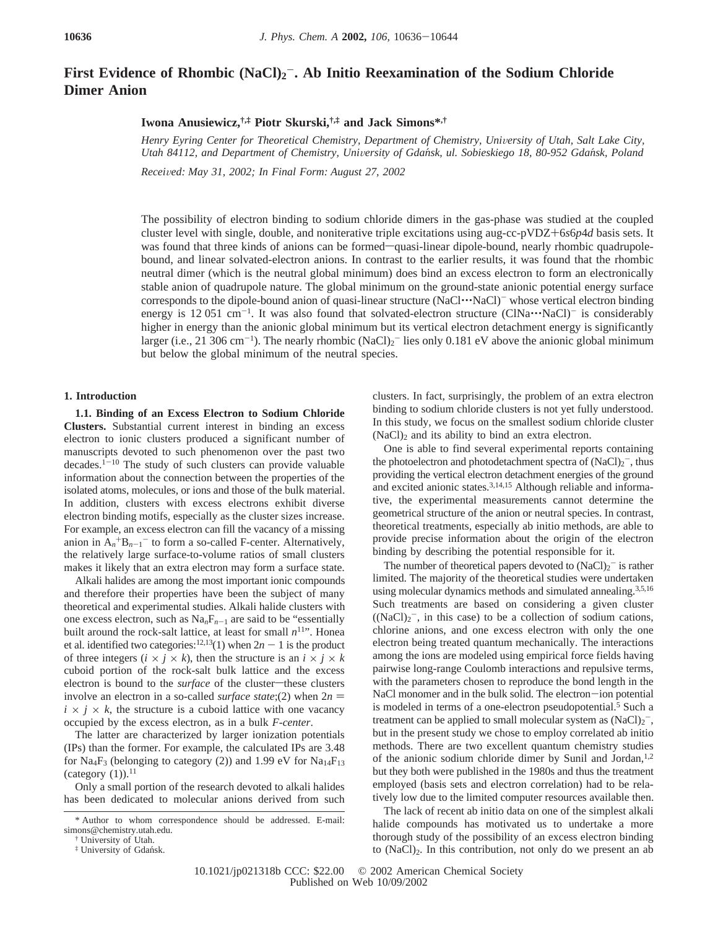# First Evidence of Rhombic (NaCl)<sub>2</sub><sup>-</sup>. Ab Initio Reexamination of the Sodium Chloride **Dimer Anion**

## **Iwona Anusiewicz,†,‡ Piotr Skurski,†,‡ and Jack Simons\*,†**

*Henry Eyring Center for Theoretical Chemistry, Department of Chemistry, University of Utah, Salt Lake City, Utah 84112, and Department of Chemistry, University of Gdańsk, ul. Sobieskiego 18, 80-952 Gdańsk, Poland* 

*Recei*V*ed: May 31, 2002; In Final Form: August 27, 2002*

The possibility of electron binding to sodium chloride dimers in the gas-phase was studied at the coupled cluster level with single, double, and noniterative triple excitations using aug-cc-pVDZ+6*s*6*p*4*<sup>d</sup>* basis sets. It was found that three kinds of anions can be formed—quasi-linear dipole-bound, nearly rhombic quadrupolebound, and linear solvated-electron anions. In contrast to the earlier results, it was found that the rhombic neutral dimer (which is the neutral global minimum) does bind an excess electron to form an electronically stable anion of quadrupole nature. The global minimum on the ground-state anionic potential energy surface corresponds to the dipole-bound anion of quasi-linear structure  $(NaCl\cdots NaCl)^-$  whose vertical electron binding energy is 12 051 cm<sup>-1</sup>. It was also found that solvated-electron structure  $(CINa\cdots NaCl)^-$  is considerably<br>higher in energy than the anionic global minimum but its vertical electron detachment energy is significantly higher in energy than the anionic global minimum but its vertical electron detachment energy is significantly larger (i.e., 21 306 cm<sup>-1</sup>). The nearly rhombic  $(NaCl)_2$ <sup>-</sup> lies only 0.181 eV above the anionic global minimum but below the global minimum of the neutral species.

#### **1. Introduction**

**1.1. Binding of an Excess Electron to Sodium Chloride Clusters.** Substantial current interest in binding an excess electron to ionic clusters produced a significant number of manuscripts devoted to such phenomenon over the past two decades. $1^{-10}$  The study of such clusters can provide valuable information about the connection between the properties of the isolated atoms, molecules, or ions and those of the bulk material. In addition, clusters with excess electrons exhibit diverse electron binding motifs, especially as the cluster sizes increase. For example, an excess electron can fill the vacancy of a missing anion in  $A_n^+B_{n-1}^-$  to form a so-called F-center. Alternatively, the relatively large surface-to-volume ratios of small clusters makes it likely that an extra electron may form a surface state.

Alkali halides are among the most important ionic compounds and therefore their properties have been the subject of many theoretical and experimental studies. Alkali halide clusters with one excess electron, such as  $\text{Na}_n\text{F}_{n-1}$  are said to be "essentially built around the rock-salt lattice, at least for small  $n^{11}$ ". Honea et al. identified two categories:<sup>12,13</sup>(1) when  $2n - 1$  is the product of three integers  $(i \times j \times k)$ , then the structure is an  $i \times j \times k$ cuboid portion of the rock-salt bulk lattice and the excess electron is bound to the *surface* of the cluster-these clusters involve an electron in a so-called *surface state*;(2) when  $2n =$  $i \times j \times k$ , the structure is a cuboid lattice with one vacancy occupied by the excess electron, as in a bulk *F-center*.

The latter are characterized by larger ionization potentials (IPs) than the former. For example, the calculated IPs are 3.48 for Na<sub>4</sub>F<sub>3</sub> (belonging to category (2)) and 1.99 eV for Na<sub>14</sub>F<sub>13</sub> (category  $(1)$ ).<sup>11</sup>

Only a small portion of the research devoted to alkali halides has been dedicated to molecular anions derived from such clusters. In fact, surprisingly, the problem of an extra electron binding to sodium chloride clusters is not yet fully understood. In this study, we focus on the smallest sodium chloride cluster  $(NaCl)<sub>2</sub>$  and its ability to bind an extra electron.

One is able to find several experimental reports containing the photoelectron and photodetachment spectra of  $(NaCl)_2^-$ , thus providing the vertical electron detachment energies of the ground and excited anionic states.3,14,15 Although reliable and informative, the experimental measurements cannot determine the geometrical structure of the anion or neutral species. In contrast, theoretical treatments, especially ab initio methods, are able to provide precise information about the origin of the electron binding by describing the potential responsible for it.

The number of theoretical papers devoted to  $(NaCl)<sub>2</sub>$  is rather limited. The majority of the theoretical studies were undertaken using molecular dynamics methods and simulated annealing.3,5,16 Such treatments are based on considering a given cluster  $((NaCl)<sub>2</sub>^-$ , in this case) to be a collection of sodium cations, chlorine anions, and one excess electron with only the one electron being treated quantum mechanically. The interactions among the ions are modeled using empirical force fields having pairwise long-range Coulomb interactions and repulsive terms, with the parameters chosen to reproduce the bond length in the NaCl monomer and in the bulk solid. The electron-ion potential is modeled in terms of a one-electron pseudopotential.<sup>5</sup> Such a treatment can be applied to small molecular system as  $(NaCl)_2^-$ , but in the present study we chose to employ correlated ab initio methods. There are two excellent quantum chemistry studies of the anionic sodium chloride dimer by Sunil and Jordan, $1,2$ but they both were published in the 1980s and thus the treatment employed (basis sets and electron correlation) had to be relatively low due to the limited computer resources available then.

The lack of recent ab initio data on one of the simplest alkali halide compounds has motivated us to undertake a more thorough study of the possibility of an excess electron binding to (NaCl)2. In this contribution, not only do we present an ab

<sup>\*</sup> Author to whom correspondence should be addressed. E-mail: simons@chemistry.utah.edu.

<sup>†</sup> University of Utah.

<sup>‡</sup> University of Gdan´sk.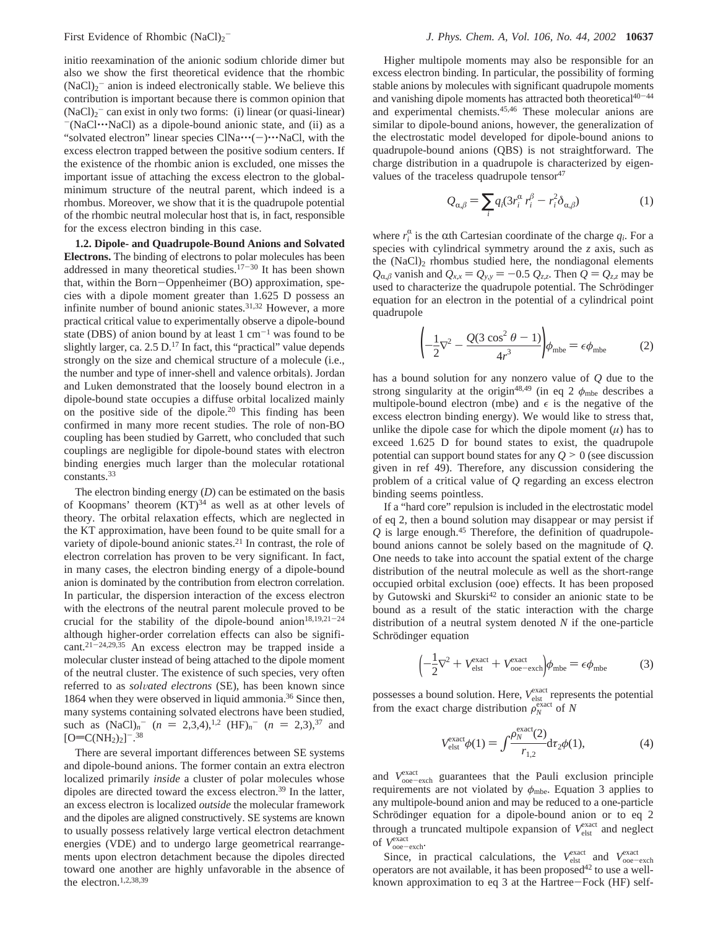initio reexamination of the anionic sodium chloride dimer but also we show the first theoretical evidence that the rhombic  $(NaCl)<sub>2</sub>$ <sup>-</sup> anion is indeed electronically stable. We believe this contribution is important because there is common opinion that  $(NaCl)<sub>2</sub>$ <sup>-</sup> can exist in only two forms: (i) linear (or quasi-linear)  $-(NaCl\cdots NaCl)$  as a dipole-bound anionic state, and (ii) as a "solvated electron" linear species  $CINa...(-)...NaC$ , with the excess electron trapped between the positive sodium centers. If the existence of the rhombic anion is excluded, one misses the important issue of attaching the excess electron to the globalminimum structure of the neutral parent, which indeed is a rhombus. Moreover, we show that it is the quadrupole potential of the rhombic neutral molecular host that is, in fact*,* responsible for the excess electron binding in this case.

**1.2. Dipole- and Quadrupole-Bound Anions and Solvated Electrons.** The binding of electrons to polar molecules has been addressed in many theoretical studies. $17-30$  It has been shown that, within the Born-Oppenheimer (BO) approximation, species with a dipole moment greater than 1.625 D possess an infinite number of bound anionic states.31,32 However, a more practical critical value to experimentally observe a dipole-bound state (DBS) of anion bound by at least  $1 \text{ cm}^{-1}$  was found to be slightly larger, ca. 2.5 D.<sup>17</sup> In fact, this "practical" value depends strongly on the size and chemical structure of a molecule (i.e., the number and type of inner-shell and valence orbitals). Jordan and Luken demonstrated that the loosely bound electron in a dipole-bound state occupies a diffuse orbital localized mainly on the positive side of the dipole.20 This finding has been confirmed in many more recent studies. The role of non-BO coupling has been studied by Garrett, who concluded that such couplings are negligible for dipole-bound states with electron binding energies much larger than the molecular rotational constants.33

The electron binding energy (*D*) can be estimated on the basis of Koopmans' theorem  $(KT)^{34}$  as well as at other levels of theory. The orbital relaxation effects, which are neglected in the KT approximation, have been found to be quite small for a variety of dipole-bound anionic states.<sup>21</sup> In contrast, the role of electron correlation has proven to be very significant. In fact, in many cases, the electron binding energy of a dipole-bound anion is dominated by the contribution from electron correlation. In particular, the dispersion interaction of the excess electron with the electrons of the neutral parent molecule proved to be crucial for the stability of the dipole-bound anion<sup>18,19,21-24</sup> although higher-order correlation effects can also be significant.21-24,29,35 An excess electron may be trapped inside a molecular cluster instead of being attached to the dipole moment of the neutral cluster. The existence of such species, very often referred to as *solvated electrons* (SE), has been known since 1864 when they were observed in liquid ammonia.<sup>36</sup> Since then, many systems containing solvated electrons have been studied, such as  $(NaCl)_n$ <sup>-</sup>  $(n = 2,3,4)$ ,<sup>1,2</sup>  $(HF)_n$ <sup>-</sup>  $(n = 2,3)$ ,<sup>37</sup> and  $I = (CNH_2)_1$ <sup>-38</sup>  $[O=C(NH<sub>2</sub>)<sub>2</sub>]<sup>-</sup>$ .<sup>38</sup>

There are several important differences between SE systems and dipole-bound anions. The former contain an extra electron localized primarily *inside* a cluster of polar molecules whose dipoles are directed toward the excess electron.39 In the latter, an excess electron is localized *outside* the molecular framework and the dipoles are aligned constructively. SE systems are known to usually possess relatively large vertical electron detachment energies (VDE) and to undergo large geometrical rearrangements upon electron detachment because the dipoles directed toward one another are highly unfavorable in the absence of the electron.1,2,38,39

Higher multipole moments may also be responsible for an excess electron binding. In particular, the possibility of forming stable anions by molecules with significant quadrupole moments and vanishing dipole moments has attracted both theoretical $40-44$ and experimental chemists.45,46 These molecular anions are similar to dipole-bound anions, however, the generalization of the electrostatic model developed for dipole-bound anions to quadrupole-bound anions (QBS) is not straightforward. The charge distribution in a quadrupole is characterized by eigenvalues of the traceless quadrupole tensor  $47$ 

$$
Q_{\alpha,\beta} = \sum_{i} q_i (3r_i^{\alpha} r_i^{\beta} - r_i^2 \delta_{\alpha,\beta})
$$
 (1)

where  $r_i^{\alpha}$  is the  $\alpha$ th Cartesian coordinate of the charge  $q_i$ . For a species with cylindrical symmetry around the z axis, such as species with cylindrical symmetry around the *z* axis, such as the  $(NaCl)<sub>2</sub>$  rhombus studied here, the nondiagonal elements  $Q_{\alpha,\beta}$  vanish and  $Q_{x,x} = Q_{y,y} = -0.5 Q_{zz}$ . Then  $Q = Q_{zz}$  may be used to characterize the quadrupole potential. The Schrödinger equation for an electron in the potential of a cylindrical point quadrupole

$$
\left(-\frac{1}{2}\nabla^2 - \frac{Q(3\cos^2\theta - 1)}{4r^3}\right)\phi_{\text{mbe}} = \epsilon\phi_{\text{mbe}} \tag{2}
$$

has a bound solution for any nonzero value of *Q* due to the strong singularity at the origin<sup>48,49</sup> (in eq 2  $\phi$ <sub>mbe</sub> describes a multipole-bound electron (mbe) and  $\epsilon$  is the negative of the excess electron binding energy). We would like to stress that, unlike the dipole case for which the dipole moment  $(\mu)$  has to exceed 1.625 D for bound states to exist, the quadrupole potential can support bound states for any  $Q \geq 0$  (see discussion given in ref 49). Therefore, any discussion considering the problem of a critical value of *Q* regarding an excess electron binding seems pointless.

If a "hard core" repulsion is included in the electrostatic model of eq 2, then a bound solution may disappear or may persist if  $Q$  is large enough.<sup>45</sup> Therefore, the definition of quadrupolebound anions cannot be solely based on the magnitude of *Q*. One needs to take into account the spatial extent of the charge distribution of the neutral molecule as well as the short-range occupied orbital exclusion (ooe) effects. It has been proposed by Gutowski and Skurski<sup>42</sup> to consider an anionic state to be bound as a result of the static interaction with the charge distribution of a neutral system denoted *N* if the one-particle Schrödinger equation

$$
\left(-\frac{1}{2}\nabla^2 + V_{\text{elst}}^{\text{exact}} + V_{\text{ooe}-\text{exch}}^{\text{exact}}\right)\phi_{\text{mbe}} = \epsilon \phi_{\text{mbe}} \tag{3}
$$

possesses a bound solution. Here,  $V_{\text{elst}}^{\text{exact}}$  represents the potential from the exact charge distribution  $\rho_N^{\text{exact}}$  of *N* 

$$
V_{\text{elst}}^{\text{exact}}\phi(1) = \int_{1,2}^{\rho_{N}^{\text{exact}}(2)} d\tau_{2}\phi(1), \tag{4}
$$

and  $V_{\text{on}}^{\text{exact}}$  guarantees that the Pauli exclusion principle<br>requirements are not violated by  $\phi$ . Fountion 3 applies to requirements are not violated by  $\phi_{\text{mbe}}$ . Equation 3 applies to any multipole-bound anion and may be reduced to a one-particle Schrödinger equation for a dipole-bound anion or to eq 2 through a truncated multipole expansion of  $V_{\text{elst}}^{\text{exact}}$  and neglect of  $V_{\text{ooe-exch}}^{\text{exact}}$ .

Since, in practical calculations, the  $V_{\text{est}}^{\text{exact}}$  and  $V_{\text{osoc-exch}}^{\text{exact}}$ operators are not available, it has been proposed<sup>42</sup> to use a wellknown approximation to eq 3 at the Hartree-Fock (HF) self-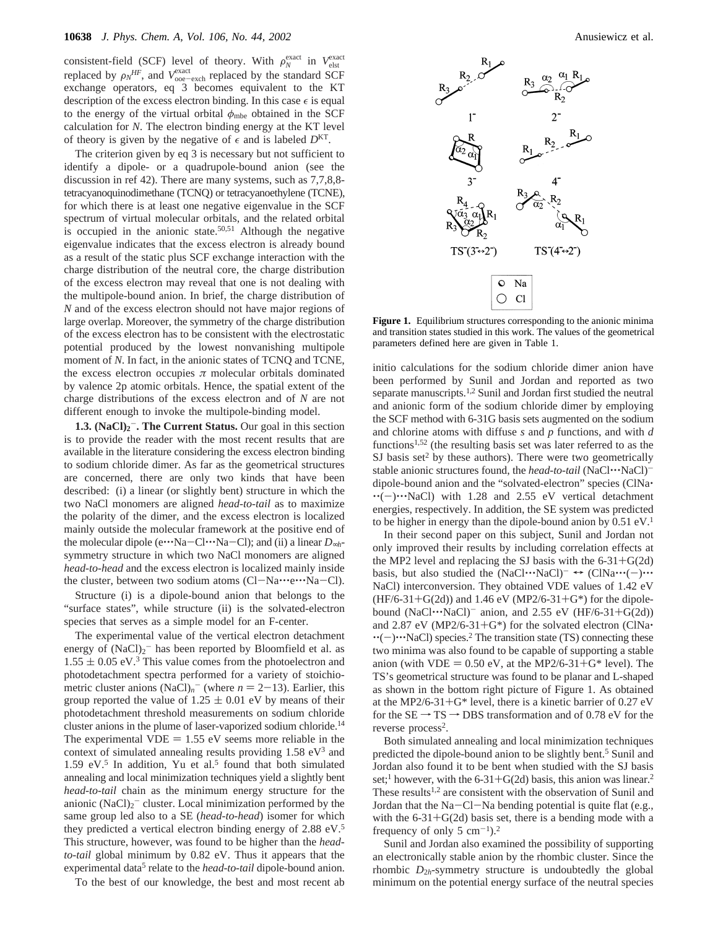consistent-field (SCF) level of theory. With  $\rho_N^{\text{exact}}$  in *V*elst replaced by  $\eta_N H_F$  and *Vexact* replaced by the standard SCF replaced by  $\rho_N^{HF}$ , and  $V_{\text{ooe-exch}}^{\text{exact}}$  replaced by the standard SCF<br>exchange operators eq. 3 becomes equivalent to the KT exchange operators, eq 3 becomes equivalent to the KT description of the excess electron binding. In this case  $\epsilon$  is equal to the energy of the virtual orbital  $\phi_{mbe}$  obtained in the SCF calculation for *N*. The electron binding energy at the KT level of theory is given by the negative of  $\epsilon$  and is labeled  $D<sup>KT</sup>$ .

The criterion given by eq 3 is necessary but not sufficient to identify a dipole- or a quadrupole-bound anion (see the discussion in ref 42). There are many systems, such as 7,7,8,8 tetracyanoquinodimethane (TCNQ) or tetracyanoethylene (TCNE), for which there is at least one negative eigenvalue in the SCF spectrum of virtual molecular orbitals, and the related orbital is occupied in the anionic state.<sup>50,51</sup> Although the negative eigenvalue indicates that the excess electron is already bound as a result of the static plus SCF exchange interaction with the charge distribution of the neutral core, the charge distribution of the excess electron may reveal that one is not dealing with the multipole-bound anion. In brief, the charge distribution of *N* and of the excess electron should not have major regions of large overlap. Moreover, the symmetry of the charge distribution of the excess electron has to be consistent with the electrostatic potential produced by the lowest nonvanishing multipole moment of *N*. In fact, in the anionic states of TCNQ and TCNE, the excess electron occupies  $\pi$  molecular orbitals dominated by valence 2p atomic orbitals. Hence, the spatial extent of the charge distributions of the excess electron and of *N* are not different enough to invoke the multipole-binding model.

**1.3. (NaCl)<sub>2</sub><sup>-</sup>. The Current Status.** Our goal in this section is to provide the reader with the most recent results that are available in the literature considering the excess electron binding to sodium chloride dimer. As far as the geometrical structures are concerned, there are only two kinds that have been described: (i) a linear (or slightly bent) structure in which the two NaCl monomers are aligned *head-to-tail* as to maximize the polarity of the dimer, and the excess electron is localized mainly outside the molecular framework at the positive end of the molecular dipole (e'''Na-Cl'''Na-Cl); and (ii) a linear *<sup>D</sup>*∞*<sup>h</sup>*symmetry structure in which two NaCl monomers are aligned *head-to-head* and the excess electron is localized mainly inside the cluster, between two sodium atoms (Cl-Na $\cdots$ e $\cdots$ Na-Cl).

Structure (i) is a dipole-bound anion that belongs to the "surface states", while structure (ii) is the solvated-electron species that serves as a simple model for an F-center.

The experimental value of the vertical electron detachment energy of  $(NaCl)<sub>2</sub>$  has been reported by Bloomfield et al. as  $1.55 \pm 0.05$  eV.<sup>3</sup> This value comes from the photoelectron and photodetachment spectra performed for a variety of stoichiometric cluster anions  $(NaCl)_n$ <sup>-</sup> (where  $n = 2-13$ ). Earlier, this group reported the value of  $1.25 \pm 0.01$  eV by means of their photodetachment threshold measurements on sodium chloride cluster anions in the plume of laser-vaporized sodium chloride.14 The experimental VDE  $= 1.55$  eV seems more reliable in the context of simulated annealing results providing  $1.58 \text{ eV}^3$  and  $1.59$  eV.<sup>5</sup> In addition, Yu et al.<sup>5</sup> found that both simulated annealing and local minimization techniques yield a slightly bent *head-to-tail* chain as the minimum energy structure for the anionic  $(NaCl)<sub>2</sub>$ <sup>-</sup> cluster. Local minimization performed by the same group led also to a SE (*head-to-head*) isomer for which they predicted a vertical electron binding energy of 2.88 eV.5 This structure, however, was found to be higher than the *headto-tail* global minimum by 0.82 eV. Thus it appears that the experimental data<sup>5</sup> relate to the *head-to-tail* dipole-bound anion.

To the best of our knowledge, the best and most recent ab



Figure 1. Equilibrium structures corresponding to the anionic minima and transition states studied in this work. The values of the geometrical parameters defined here are given in Table 1.

initio calculations for the sodium chloride dimer anion have been performed by Sunil and Jordan and reported as two separate manuscripts.<sup>1,2</sup> Sunil and Jordan first studied the neutral and anionic form of the sodium chloride dimer by employing the SCF method with 6-31G basis sets augmented on the sodium and chlorine atoms with diffuse *s* and *p* functions, and with *d* functions<sup>1,52</sup> (the resulting basis set was later referred to as the  $SI$  basis set<sup>2</sup> by these authors). There were two geometrically stable anionic structures found, the *head-to-tail* (NaCl···NaCl)<sup>-</sup> dipole-bound anion and the "solvated-electron" species (ClNa' "(-)"NaCl) with 1.28 and 2.55 eV vertical detachment energies, respectively. In addition, the SE system was predicted to be higher in energy than the dipole-bound anion by 0.51 eV.<sup>1</sup>

In their second paper on this subject, Sunil and Jordan not only improved their results by including correlation effects at the MP2 level and replacing the SJ basis with the  $6-31+G(2d)$ basis, but also studied the  $(NaCl\cdots NaCl)^{-} \leftrightarrow (ClNa\cdots (-)\cdots$ NaCl) interconversion. They obtained VDE values of 1.42 eV  $(HF/6-31+G(2d))$  and 1.46 eV (MP2/6-31+G\*) for the dipolebound  $(NaCl\cdots NaCl)^-$  anion, and 2.55 eV  $(HF/6-31+G(2d))$ and 2.87 eV (MP2/6-31+G\*) for the solvated electron (ClNa $\cdot$  $\cdot$ (-) $\cdot$ ··NaCl) species.<sup>2</sup> The transition state (TS) connecting these two minima was also found to be capable of supporting a stable anion (with VDE = 0.50 eV, at the MP2/6-31+G\* level). The TS's geometrical structure was found to be planar and L-shaped as shown in the bottom right picture of Figure 1. As obtained at the MP2/6-31+ $G^*$  level, there is a kinetic barrier of 0.27 eV for the  $SE \rightarrow TS \rightarrow DBS$  transformation and of 0.78 eV for the reverse process<sup>2</sup>.

Both simulated annealing and local minimization techniques predicted the dipole-bound anion to be slightly bent.<sup>5</sup> Sunil and Jordan also found it to be bent when studied with the SJ basis set;<sup>1</sup> however, with the 6-31+G(2d) basis, this anion was linear.<sup>2</sup> These results<sup>1,2</sup> are consistent with the observation of Sunil and Jordan that the  $Na-Cl-Na$  bending potential is quite flat (e.g., with the  $6-31+G(2d)$  basis set, there is a bending mode with a frequency of only 5  $cm^{-1}$ ).<sup>2</sup>

Sunil and Jordan also examined the possibility of supporting an electronically stable anion by the rhombic cluster. Since the rhombic  $D_{2h}$ -symmetry structure is undoubtedly the global minimum on the potential energy surface of the neutral species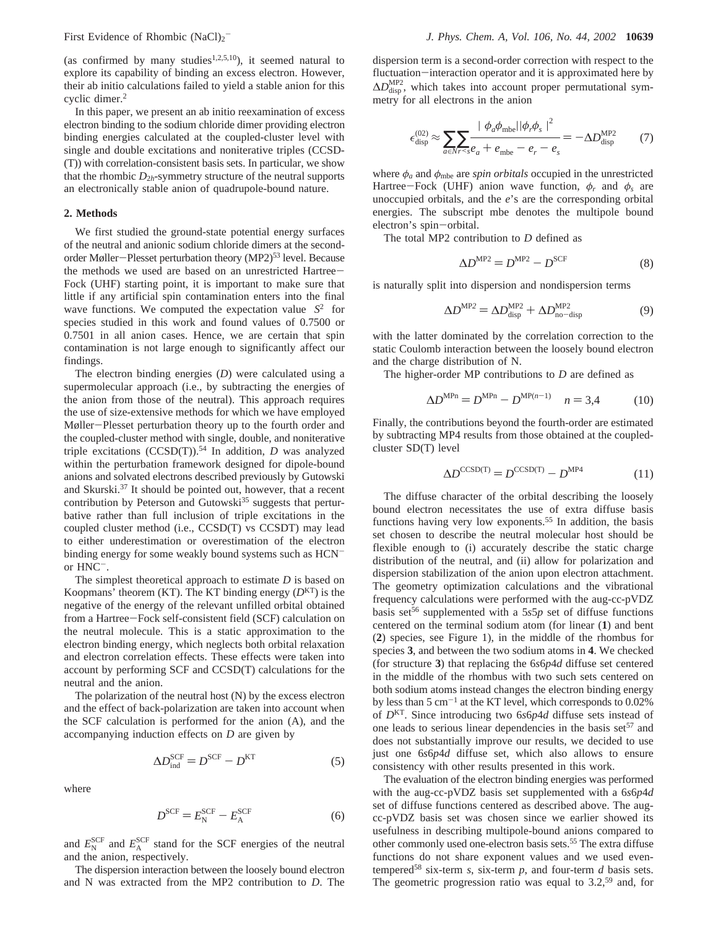(as confirmed by many studies<sup>1,2,5,10</sup>), it seemed natural to explore its capability of binding an excess electron. However, their ab initio calculations failed to yield a stable anion for this cyclic dimer.2

In this paper, we present an ab initio reexamination of excess electron binding to the sodium chloride dimer providing electron binding energies calculated at the coupled-cluster level with single and double excitations and noniterative triples (CCSD- (T)) with correlation-consistent basis sets. In particular, we show that the rhombic  $D_{2h}$ -symmetry structure of the neutral supports an electronically stable anion of quadrupole-bound nature.

### **2. Methods**

We first studied the ground-state potential energy surfaces of the neutral and anionic sodium chloride dimers at the secondorder Møller-Plesset perturbation theory (MP2)<sup>53</sup> level. Because the methods we used are based on an unrestricted Hartree-Fock (UHF) starting point, it is important to make sure that little if any artificial spin contamination enters into the final wave functions. We computed the expectation value  $\langle S^2 \rangle$  for species studied in this work and found values of 0.7500 or 0.7501 in all anion cases. Hence, we are certain that spin contamination is not large enough to significantly affect our findings.

The electron binding energies (*D*) were calculated using a supermolecular approach (i.e., by subtracting the energies of the anion from those of the neutral). This approach requires the use of size-extensive methods for which we have employed Møller-Plesset perturbation theory up to the fourth order and the coupled-cluster method with single, double, and noniterative triple excitations (CCSD(T)).<sup>54</sup> In addition, *D* was analyzed within the perturbation framework designed for dipole-bound anions and solvated electrons described previously by Gutowski and Skurski.37 It should be pointed out, however, that a recent contribution by Peterson and Gutowski<sup>35</sup> suggests that perturbative rather than full inclusion of triple excitations in the coupled cluster method (i.e., CCSD(T) vs CCSDT) may lead to either underestimation or overestimation of the electron binding energy for some weakly bound systems such as HCNor HNC-.

The simplest theoretical approach to estimate *D* is based on Koopmans' theorem (KT). The KT binding energy (*D*KT) is the negative of the energy of the relevant unfilled orbital obtained from a Hartree-Fock self-consistent field (SCF) calculation on the neutral molecule. This is a static approximation to the electron binding energy, which neglects both orbital relaxation and electron correlation effects. These effects were taken into account by performing SCF and CCSD(T) calculations for the neutral and the anion.

The polarization of the neutral host (N) by the excess electron and the effect of back-polarization are taken into account when the SCF calculation is performed for the anion (A), and the accompanying induction effects on *D* are given by

$$
\Delta D_{\text{ind}}^{\text{SCF}} = D^{\text{SCF}} - D^{\text{KT}} \tag{5}
$$

where

$$
D^{\text{SCF}} = E_N^{\text{SCF}} - E_A^{\text{SCF}}
$$
 (6)

and  $E_{\rm N}^{\rm SCF}$  and  $E_{\rm A}^{\rm SCF}$  stand for the SCF energies of the neutral and the anion, respectively.

The dispersion interaction between the loosely bound electron and N was extracted from the MP2 contribution to *D*. The

dispersion term is a second-order correction with respect to the fluctuation-interaction operator and it is approximated here by <br>
∆*D*<sub>disp</sub>, which takes into account proper permutational symmetry for all electrons in the anion

$$
\epsilon_{\text{disp}}^{(02)} \approx \sum_{a \in N r < s} \sum_{e_a + e_{\text{mbe}}} \frac{|\langle \phi_a \phi_{\text{mbe}} | | \phi_r \phi_s \rangle|^2}{| \phi_e - e_r - e_s|} = -\Delta D_{\text{disp}}^{\text{MP2}} \tag{7}
$$

where  $\phi_a$  and  $\phi_{\text{mbe}}$  are *spin orbitals* occupied in the unrestricted Hartree-Fock (UHF) anion wave function,  $\phi_r$  and  $\phi_s$  are unoccupied orbitals, and the *e*'s are the corresponding orbital energies. The subscript mbe denotes the multipole bound electron's spin-orbital.

The total MP2 contribution to *D* defined as

$$
\Delta D^{\text{MP2}} = D^{\text{MP2}} - D^{\text{SCF}} \tag{8}
$$

is naturally split into dispersion and nondispersion terms

$$
\Delta D^{\text{MP2}} = \Delta D_{\text{disp}}^{\text{MP2}} + \Delta D_{\text{no-disp}}^{\text{MP2}} \tag{9}
$$

with the latter dominated by the correlation correction to the static Coulomb interaction between the loosely bound electron and the charge distribution of N.

The higher-order MP contributions to *D* are defined as

$$
\Delta D^{\text{MPn}} = D^{\text{MPn}} - D^{\text{MP}(n-1)} \quad n = 3,4 \tag{10}
$$

Finally, the contributions beyond the fourth-order are estimated by subtracting MP4 results from those obtained at the coupledcluster SD(T) level

$$
\Delta D^{\text{CCSD(T)}} = D^{\text{CCSD(T)}} - D^{\text{MP4}} \tag{11}
$$

The diffuse character of the orbital describing the loosely bound electron necessitates the use of extra diffuse basis functions having very low exponents.<sup>55</sup> In addition, the basis set chosen to describe the neutral molecular host should be flexible enough to (i) accurately describe the static charge distribution of the neutral, and (ii) allow for polarization and dispersion stabilization of the anion upon electron attachment. The geometry optimization calculations and the vibrational frequency calculations were performed with the aug-cc-pVDZ basis set<sup>56</sup> supplemented with a  $5s5p$  set of diffuse functions centered on the terminal sodium atom (for linear (**1**) and bent (**2**) species, see Figure 1), in the middle of the rhombus for species **3**, and between the two sodium atoms in **4**. We checked (for structure **3**) that replacing the 6*s*6*p*4*d* diffuse set centered in the middle of the rhombus with two such sets centered on both sodium atoms instead changes the electron binding energy by less than  $5 \text{ cm}^{-1}$  at the KT level, which corresponds to 0.02% of *D*KT. Since introducing two 6*s*6*p*4*d* diffuse sets instead of one leads to serious linear dependencies in the basis set<sup>57</sup> and does not substantially improve our results, we decided to use just one 6*s*6*p*4*d* diffuse set, which also allows to ensure consistency with other results presented in this work.

The evaluation of the electron binding energies was performed with the aug-cc-pVDZ basis set supplemented with a 6*s*6*p*4*d* set of diffuse functions centered as described above. The augcc-pVDZ basis set was chosen since we earlier showed its usefulness in describing multipole-bound anions compared to other commonly used one-electron basis sets.55 The extra diffuse functions do not share exponent values and we used eventempered<sup>58</sup> six-term  $s$ , six-term  $p$ , and four-term  $d$  basis sets. The geometric progression ratio was equal to  $3.2,59$  and, for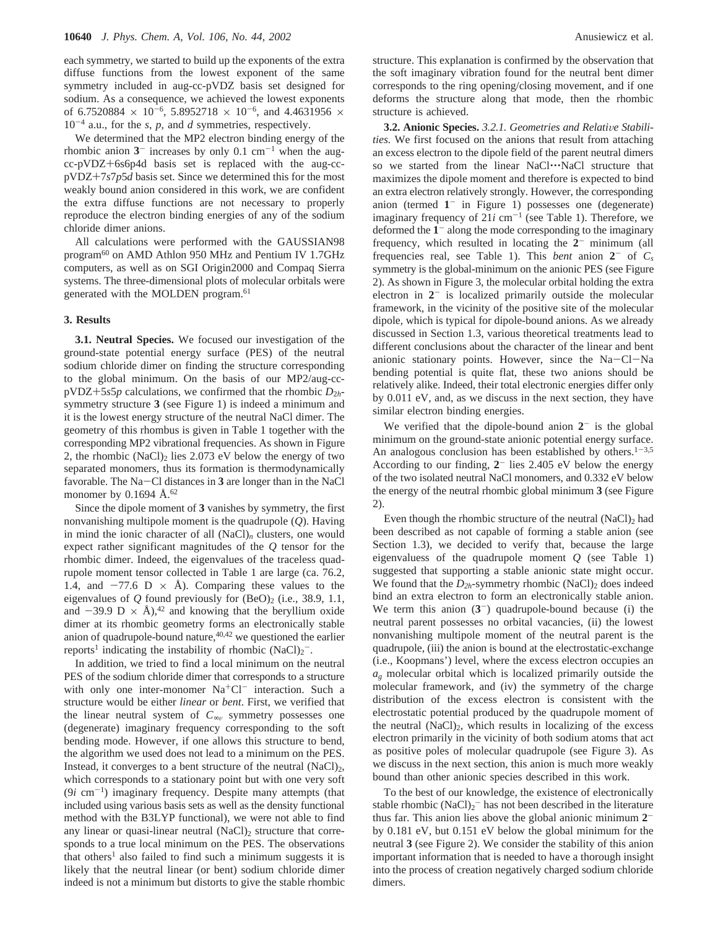each symmetry, we started to build up the exponents of the extra diffuse functions from the lowest exponent of the same symmetry included in aug-cc-pVDZ basis set designed for sodium. As a consequence, we achieved the lowest exponents of 6.7520884  $\times$  10<sup>-6</sup>, 5.8952718  $\times$  10<sup>-6</sup>, and 4.4631956  $\times$ 10-<sup>4</sup> a.u., for the *s*, *p*, and *d* symmetries, respectively.

We determined that the MP2 electron binding energy of the rhombic anion  $3^-$  increases by only 0.1 cm<sup>-1</sup> when the augcc-pVDZ+6s6p4d basis set is replaced with the aug-ccpVDZ+7*s*7*p*5*<sup>d</sup>* basis set. Since we determined this for the most weakly bound anion considered in this work, we are confident the extra diffuse functions are not necessary to properly reproduce the electron binding energies of any of the sodium chloride dimer anions.

All calculations were performed with the GAUSSIAN98 program60 on AMD Athlon 950 MHz and Pentium IV 1.7GHz computers, as well as on SGI Origin2000 and Compaq Sierra systems. The three-dimensional plots of molecular orbitals were generated with the MOLDEN program.<sup>61</sup>

## **3. Results**

**3.1. Neutral Species.** We focused our investigation of the ground-state potential energy surface (PES) of the neutral sodium chloride dimer on finding the structure corresponding to the global minimum. On the basis of our MP2/aug-cc $pVDZ+5s5p$  calculations, we confirmed that the rhombic  $D_{2h}$ symmetry structure **3** (see Figure 1) is indeed a minimum and it is the lowest energy structure of the neutral NaCl dimer. The geometry of this rhombus is given in Table 1 together with the corresponding MP2 vibrational frequencies. As shown in Figure 2, the rhombic  $(NaCl)_2$  lies 2.073 eV below the energy of two separated monomers, thus its formation is thermodynamically favorable. The Na-Cl distances in **<sup>3</sup>** are longer than in the NaCl monomer by 0.1694  $\AA$ .<sup>62</sup>

Since the dipole moment of **3** vanishes by symmetry, the first nonvanishing multipole moment is the quadrupole (*Q*). Having in mind the ionic character of all  $(NaCl)<sub>n</sub>$  clusters, one would expect rather significant magnitudes of the *Q* tensor for the rhombic dimer. Indeed, the eigenvalues of the traceless quadrupole moment tensor collected in Table 1 are large (ca. 76.2, 1.4, and  $-77.6$  D  $\times$  Å). Comparing these values to the eigenvalues of  $Q$  found previously for  $(BeO)_2$  (i.e., 38.9, 1.1, and  $-39.9$  D  $\times$  Å),<sup>42</sup> and knowing that the beryllium oxide dimer at its rhombic geometry forms an electronically stable anion of quadrupole-bound nature,  $40,42$  we questioned the earlier reports<sup>1</sup> indicating the instability of rhombic  $(NaCl)<sub>2</sub>$ .

In addition, we tried to find a local minimum on the neutral PES of the sodium chloride dimer that corresponds to a structure with only one inter-monomer  $Na<sup>+</sup>Cl<sup>-</sup>$  interaction. Such a structure would be either *linear* or *bent*. First, we verified that the linear neutral system of  $C_{\infty}$  symmetry possesses one (degenerate) imaginary frequency corresponding to the soft bending mode. However, if one allows this structure to bend, the algorithm we used does not lead to a minimum on the PES. Instead, it converges to a bent structure of the neutral  $(NaCl)_2$ , which corresponds to a stationary point but with one very soft  $(9i \text{ cm}^{-1})$  imaginary frequency. Despite many attempts (that included using various basis sets as well as the density functional method with the B3LYP functional), we were not able to find any linear or quasi-linear neutral  $(NaCl)_2$  structure that corresponds to a true local minimum on the PES. The observations that others<sup>1</sup> also failed to find such a minimum suggests it is likely that the neutral linear (or bent) sodium chloride dimer indeed is not a minimum but distorts to give the stable rhombic

structure. This explanation is confirmed by the observation that the soft imaginary vibration found for the neutral bent dimer corresponds to the ring opening/closing movement, and if one deforms the structure along that mode, then the rhombic structure is achieved.

3.2. Anionic Species. 3.2.1. Geometries and Relative Stabili*ties.* We first focused on the anions that result from attaching an excess electron to the dipole field of the parent neutral dimers so we started from the linear NaCl…NaCl structure that maximizes the dipole moment and therefore is expected to bind an extra electron relatively strongly. However, the corresponding anion (termed **1**- in Figure 1) possesses one (degenerate) imaginary frequency of  $21i$  cm<sup>-1</sup> (see Table 1). Therefore, we deformed the **1**- along the mode corresponding to the imaginary frequency, which resulted in locating the **2**- minimum (all frequencies real, see Table 1). This *bent* anion  $2^-$  of  $C_s$ symmetry is the global-minimum on the anionic PES (see Figure 2). As shown in Figure 3, the molecular orbital holding the extra electron in **2**- is localized primarily outside the molecular framework, in the vicinity of the positive site of the molecular dipole, which is typical for dipole-bound anions. As we already discussed in Section 1.3, various theoretical treatments lead to different conclusions about the character of the linear and bent anionic stationary points. However, since the Na-Cl-Na bending potential is quite flat, these two anions should be relatively alike. Indeed, their total electronic energies differ only by 0.011 eV, and, as we discuss in the next section, they have similar electron binding energies.

We verified that the dipole-bound anion  $2<sup>-</sup>$  is the global minimum on the ground-state anionic potential energy surface. An analogous conclusion has been established by others.<sup>1-3,5</sup> According to our finding, **2**- lies 2.405 eV below the energy of the two isolated neutral NaCl monomers, and 0.332 eV below the energy of the neutral rhombic global minimum **3** (see Figure 2).

Even though the rhombic structure of the neutral  $(NaCl)<sub>2</sub>$  had been described as not capable of forming a stable anion (see Section 1.3), we decided to verify that, because the large eigenvaluess of the quadrupole moment *Q* (see Table 1) suggested that supporting a stable anionic state might occur. We found that the  $D_{2h}$ -symmetry rhombic (NaCl)<sub>2</sub> does indeed bind an extra electron to form an electronically stable anion. We term this anion  $(3^-)$  quadrupole-bound because (i) the neutral parent possesses no orbital vacancies, (ii) the lowest nonvanishing multipole moment of the neutral parent is the quadrupole, (iii) the anion is bound at the electrostatic-exchange (i.e., Koopmans') level, where the excess electron occupies an *ag* molecular orbital which is localized primarily outside the molecular framework, and (iv) the symmetry of the charge distribution of the excess electron is consistent with the electrostatic potential produced by the quadrupole moment of the neutral  $(NaCl)_2$ , which results in localizing of the excess electron primarily in the vicinity of both sodium atoms that act as positive poles of molecular quadrupole (see Figure 3). As we discuss in the next section, this anion is much more weakly bound than other anionic species described in this work.

To the best of our knowledge, the existence of electronically stable rhombic  $(NaCl)<sub>2</sub>$ <sup>-</sup> has not been described in the literature thus far. This anion lies above the global anionic minimum **2** by 0.181 eV, but 0.151 eV below the global minimum for the neutral **3** (see Figure 2). We consider the stability of this anion important information that is needed to have a thorough insight into the process of creation negatively charged sodium chloride dimers.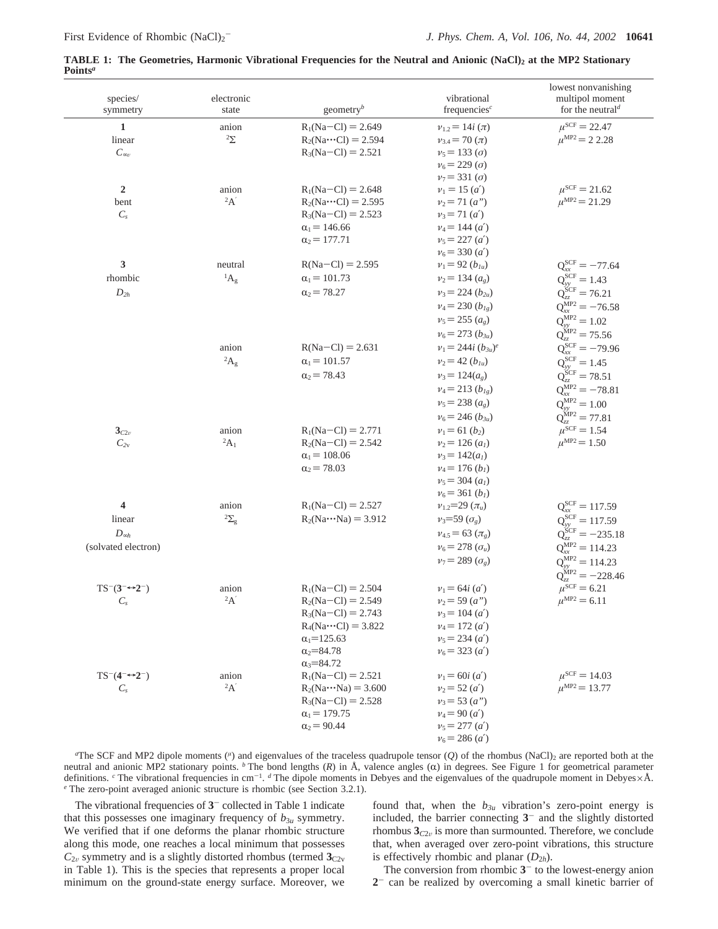| species/<br>symmetry             | electronic<br>state | geometry <sup>b</sup>       | vibrational<br>frequencies $c$       | lowest nonvanishing<br>multipol moment<br>for the neutral <sup>d</sup> |
|----------------------------------|---------------------|-----------------------------|--------------------------------------|------------------------------------------------------------------------|
| $\mathbf{1}$                     | anion               | $R_1(Na-Cl) = 2.649$        | $v_{1,2} = 14i (\pi)$                | $\mu^{\text{SCF}} = 22.47$                                             |
| linear                           | $2\Sigma$           | $R_2(Na \cdots Cl) = 2.594$ | $v_{3.4} = 70 (\pi)$                 | $\mu^{\rm MP2}$ = 2 2.28                                               |
| $C_{\infty}$                     |                     | $R_3(Na - Cl) = 2.521$      | $v_5 = 133(\sigma)$                  |                                                                        |
|                                  |                     |                             | $v_6 = 229$ ( <i>o</i> )             |                                                                        |
|                                  |                     |                             | $v_7 = 331(\sigma)$                  |                                                                        |
| $\overline{2}$                   | anion               | $R_1(Na-Cl) = 2.648$        | $v_1 = 15(a')$                       | $\mu^{\rm SCF} = 21.62$                                                |
| bent                             | 2A'                 | $R_2(Na \cdots C) = 2.595$  | $v_2 = 71(a'')$                      | $\mu^{\text{MP2}} = 21.29$                                             |
| $C_s$                            |                     | $R_3(Na-Cl) = 2.523$        | $v_3 = 71(a')$                       |                                                                        |
|                                  |                     | $\alpha_1 = 146.66$         | $v_4 = 144$ ( <i>a'</i> )            |                                                                        |
|                                  |                     | $\alpha_2 = 177.71$         | $v_5 = 227(a')$                      |                                                                        |
|                                  |                     |                             | $v_6$ = 330 ( <i>a'</i> )            |                                                                        |
| 3                                | neutral             | $R(Na-Cl) = 2.595$          | $v_1 = 92 (b_{1u})$                  | $Q_{xx}^{SCF} = -77.64$                                                |
| rhombic                          | ${}^{1}A_{g}$       | $\alpha_1 = 101.73$         | $v_2$ = 134 $(a_e)$                  | $Q_{vv}^{SCF} = 1.43$                                                  |
| $D_{2h}$                         |                     | $\alpha_2$ = 78.27          | $v_3$ = 224 ( $b_{2u}$ )             | $Q_{zz}^{\rm SCF} = 76.21$                                             |
|                                  |                     |                             | $v_4$ = 230 $(b_{1g})$               | $Q_{xx}^{\text{MP2}} = -76.58$                                         |
|                                  |                     |                             | $v_5 = 255 (a_g)$                    | $Q_{yy}^{MP2} = 1.02$                                                  |
|                                  |                     |                             | $v_6$ = 273 $(b_{3u})$               | $Q_{zz}^{\text{MP2}} = 75.56$                                          |
|                                  | anion               | $R(Na-Cl) = 2.631$          | $v_1 = 244i (b_{3u})^e$              | $Q_{xx}^{SCF} = -79.96$                                                |
|                                  | ${}^2A_g$           | $\alpha_1 = 101.57$         | $v_2 = 42 (b_{1u})$                  | $Q_{yy}^{SCF} = 1.45$                                                  |
|                                  |                     | $\alpha_2$ = 78.43          | $v_3 = 124(a_e)$                     | $Q_{77}^{\rm SCF} = 78.51$                                             |
|                                  |                     |                             | $v_4$ = 213 ( $b_{lg}$ )             | $Q_{xx}^{\text{MP2}} = -78.81$                                         |
|                                  |                     |                             | $v_5$ = 238 $(a_g)$                  | $Q_{yy}^{MP2} = 1.00$                                                  |
|                                  |                     |                             | $v_6$ = 246 $(b_{3u})$               | $Q_{zz}^{\dot{\textrm{MP2}}} = 77.81$                                  |
| $3_{C2v}$                        | anion               | $R_1(Na-Cl) = 2.771$        | $v_1 = 61 (b_2)$                     | $\mu^{\rm SCF} = 1.54$                                                 |
| $C_{2v}$                         | ${}^2A_1$           | $R_2(Na-Cl) = 2.542$        | $v_2$ = 126 (a <sub>1</sub> )        | $\mu^{\rm MP2} = 1.50$                                                 |
|                                  |                     | $\alpha_1 = 108.06$         | $v_3 = 142(a_1)$                     |                                                                        |
|                                  |                     | $\alpha_2 = 78.03$          | $v_4$ = 176 ( <i>b<sub>1</sub></i> ) |                                                                        |
|                                  |                     |                             | $v_5$ = 304 $(al)$                   |                                                                        |
|                                  |                     |                             | $v_6$ = 361 ( <i>b<sub>1</sub></i> ) |                                                                        |
| $\overline{\mathbf{4}}$          | anion               | $R_1(Na - C1) = 2.527$      | $v_{1,2}=29 \, (\pi_u)$              | $Q_{xx}^{SCF} = 117.59$                                                |
| linear                           | $2\Sigma_{\rm g}$   | $R_2(Na \cdots Na) = 3.912$ | $v_3 = 59 (\sigma_g)$                | $Q_{yy}^{SCF} = 117.59$                                                |
| $D_{\infty h}$                   |                     |                             | $v_{4.5} = 63 (\pi_e)$               | $Q_{zz}^{\rm SCF} = -235.18$                                           |
| (solvated electron)              |                     |                             | $v_6 = 278~(\sigma_u)$               | $Q_{xx}^{\text{MP2}} = 114.23$                                         |
|                                  |                     |                             | $v_7$ = 289 ( $\sigma_g$ )           | $Q_{vv}^{MP2} = 114.23$                                                |
|                                  |                     |                             |                                      | $Q_{zz}^{\text{MP2}} = -228.46$                                        |
| $TS^{-}(3^{-}\rightarrow 2^{-})$ | anion               | $R_1(Na - C1) = 2.504$      | $v_1 = 64i(a')$                      | $\mu^{\rm SCF} = 6.21$                                                 |
| $C_s$                            | 2A'                 | $R_2(Na-Cl) = 2.549$        | $v_2$ = 59 (a")                      | $\mu^{\text{MP2}} = 6.11$                                              |
|                                  |                     | $R_3(Na-Cl) = 2.743$        | $v_3 = 104$ ( <i>a'</i> )            |                                                                        |
|                                  |                     | $R_4(Na \cdots Cl) = 3.822$ | $v_4 = 172(a')$                      |                                                                        |
|                                  |                     | $\alpha_1 = 125.63$         | $v_5$ = 234 ( <i>a'</i> )            |                                                                        |
|                                  |                     | $\alpha_2 = 84.78$          | $v_6$ = 323 ( <i>a'</i> )            |                                                                        |
|                                  |                     | $\alpha_3 = 84.72$          |                                      |                                                                        |
| $TS^{-}(4^{-}\rightarrow2^{-})$  | anion               | $R_1(Na-Cl) = 2.521$        | $v_1 = 60i (a')$                     | $\mu^{\text{SCF}} = 14.03$                                             |
| $\mathcal{C}_s$                  | 2A'                 | $R_2(Na \cdots Na) = 3.600$ | $v_2 = 52(a')$                       | $\mu^{\rm MP2} = 13.77$                                                |
|                                  |                     | $R_3(Na-Cl) = 2.528$        | $v_3$ = 53 (a")                      |                                                                        |
|                                  |                     | $\alpha_1 = 179.75$         | $v_4 = 90 (a')$                      |                                                                        |
|                                  |                     | $\alpha_2 = 90.44$          | $v_5 = 277 (a')$                     |                                                                        |
|                                  |                     |                             | $v_6$ = 286 ( <i>a'</i> )            |                                                                        |

**TABLE 1: The Geometries, Harmonic Vibrational Frequencies for the Neutral and Anionic (NaCl)2 at the MP2 Stationary Points***<sup>a</sup>*

*a* The SCF and MP2 dipole moments (*<sup>µ</sup>*) and eigenvalues of the traceless quadrupole tensor (*Q*) of the rhombus (NaCl)2 are reported both at the neutral and anionic MP2 stationary points.  $\bar{b}$  The bond lengths (*R*) in Å, valence angles ( $\alpha$ ) in degrees. See Figure 1 for geometrical parameter definitions. CThe vibrational frequencies in cm<sup>-1</sup>. dThe dipole moments in Debyes and the eigenvalues of the quadrupole moment in Debyes×Å.<br>CThe zero-point averaged anionic structure is rhombic (see Section 3.2.1).

The vibrational frequencies of **3**- collected in Table 1 indicate that this possesses one imaginary frequency of  $b_{3u}$  symmetry. We verified that if one deforms the planar rhombic structure along this mode, one reaches a local minimum that possesses  $C_{2v}$  symmetry and is a slightly distorted rhombus (termed  $3_{C2v}$ in Table 1). This is the species that represents a proper local minimum on the ground-state energy surface. Moreover, we found that, when the  $b_{3u}$  vibration's zero-point energy is included, the barrier connecting **3**- and the slightly distorted rhombus  $3_{C2v}$  is more than surmounted. Therefore, we conclude that, when averaged over zero-point vibrations, this structure is effectively rhombic and planar  $(D_{2h})$ .

The conversion from rhombic  $3<sup>-</sup>$  to the lowest-energy anion **2**- can be realized by overcoming a small kinetic barrier of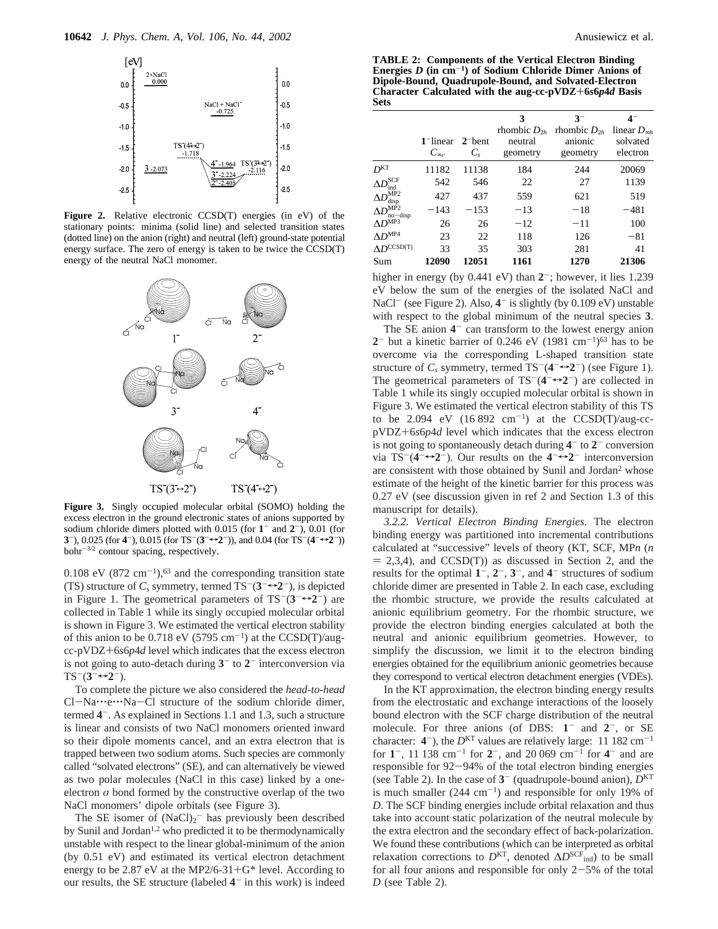

**Figure 2.** Relative electronic CCSD(T) energies (in eV) of the stationary points: minima (solid line) and selected transition states (dotted line) on the anion (right) and neutral (left) ground-state potential energy surface. The zero of energy is taken to be twice the CCSD(T) energy of the neutral NaCl monomer.



**Figure 3.** Singly occupied molecular orbital (SOMO) holding the excess electron in the ground electronic states of anions supported by sodium chloride dimers plotted with 0.015 (for **1**- and **2**-), 0.01 (for **3**<sup>-</sup>), 0.025 (for **4**<sup>-</sup>), 0.015 (for TS<sup>-</sup>(**3**<sup>-</sup> $\leftrightarrow$ **2**<sup>-</sup>)), and 0.04 (for TS<sup>-</sup>(**4**<sup>- $\leftrightarrow$ </sup>**2**<sup>-</sup>)) bohr-3/2 contour spacing, respectively.

0.108 eV  $(872 \text{ cm}^{-1})$ ,<sup>63</sup> and the corresponding transition state (TS) structure of  $C_s$  symmetry, termed  $TS^{-}(3^{-} \rightarrow 2^{-})$ , is depicted in Figure 1. The geometrical parameters of  $TS^{-}(3^{-}\rightarrow 2^{-})$  are collected in Table 1 while its singly occupied molecular orbital is shown in Figure 3. We estimated the vertical electron stability of this anion to be  $0.718$  eV (5795 cm<sup>-1</sup>) at the CCSD(T)/augcc-pVDZ+6*s*6*p*4*<sup>d</sup>* level which indicates that the excess electron is not going to auto-detach during **3**- to **2**- interconversion via  $TS^{-}(3^{-}\rightarrow 2^{-}).$ 

To complete the picture we also considered the *head-to-head* Cl-Na…e…Na-Cl structure of the sodium chloride dimer, termed **4**-. As explained in Sections 1.1 and 1.3, such a structure is linear and consists of two NaCl monomers oriented inward so their dipole moments cancel, and an extra electron that is trapped between two sodium atoms. Such species are commonly called "solvated electrons" (SE), and can alternatively be viewed as two polar molecules (NaCl in this case) linked by a oneelectron  $\sigma$  bond formed by the constructive overlap of the two NaCl monomers' dipole orbitals (see Figure 3).

The SE isomer of  $(NaCl)<sub>2</sub>$  has previously been described by Sunil and Jordan<sup>1,2</sup> who predicted it to be thermodynamically unstable with respect to the linear global-minimum of the anion (by 0.51 eV) and estimated its vertical electron detachment energy to be 2.87 eV at the MP2/6-31+ $G^*$  level. According to our results, the SE structure (labeled **4**- in this work) is indeed

**TABLE 2: Components of the Vertical Electron Binding Energies** *D* **(in cm**-**1) of Sodium Chloride Dimer Anions of Dipole-Bound, Quadrupole-Bound, and Solvated-Electron Character Calculated with the aug-cc-pVDZ**+**6***s***6***p***4***<sup>d</sup>* **Basis Sets**

|                                 | $1$ -linear $2$ -bent<br>$C_{\infty\nu}$ | $C_{s}$ | 3<br>rhombic $D_{2h}$<br>neutral<br>geometry | $3^{-}$<br>rhombic $D_{2h}$<br>anionic<br>geometry | $4-$<br>linear $D_{\infty h}$<br>solvated<br>electron |
|---------------------------------|------------------------------------------|---------|----------------------------------------------|----------------------------------------------------|-------------------------------------------------------|
| D <sub>KT</sub>                 | 11182                                    | 11138   | 184                                          | 244                                                | 20069                                                 |
| $\Delta D^{\rm SCF}$<br>ind     | 542                                      | 546     | 22                                           | 27                                                 | 1139                                                  |
| $\Delta D^{\rm MP2}$<br>disp    | 427                                      | 437     | 559                                          | 621                                                | 519                                                   |
| $\Delta D^{\rm MP2}$<br>no-disp | $-143$                                   | $-153$  | $-13$                                        | $-18$                                              | $-481$                                                |
| $\Delta D^{\text{MP3}}$         | 26                                       | 26      | $-12$                                        | $-11$                                              | 100                                                   |
| $AD^{MP4}$                      | 23                                       | 22      | 118                                          | 126                                                | $-81$                                                 |
| $AD^{CCSD(T)}$                  | 33                                       | 35      | 303                                          | 281                                                | 41                                                    |
| Sum                             | 12090                                    | 12051   | 1161                                         | 1270                                               | 21306                                                 |

higher in energy (by 0.441 eV) than  $2^-$ ; however, it lies 1.239 eV below the sum of the energies of the isolated NaCl and NaCl<sup>-</sup> (see Figure 2). Also,  $4$ <sup>-</sup> is slightly (by 0.109 eV) unstable with respect to the global minimum of the neutral species **3**.

The SE anion **4**- can transform to the lowest energy anion  $2^-$  but a kinetic barrier of 0.246 eV (1981 cm<sup>-1</sup>)<sup>63</sup> has to be overcome via the corresponding L-shaped transition state structure of  $C_s$  symmetry, termed  $TS^{-}(4^{-} \rightarrow 2^{-})$  (see Figure 1). The geometrical parameters of  $TS^{-}(4^{-} \rightarrow 2^{-})$  are collected in Table 1 while its singly occupied molecular orbital is shown in Figure 3. We estimated the vertical electron stability of this TS to be 2.094 eV  $(16 892 \text{ cm}^{-1})$  at the CCSD(T)/aug-ccpVDZ+6*s*6*p*4*<sup>d</sup>* level which indicates that the excess electron is not going to spontaneously detach during **4**- to **2**- conversion via  $TS^{-}(4^{-} \rightarrow 2^{-})$ . Our results on the  $4^{-} \rightarrow 2^{-}$  interconversion are consistent with those obtained by Sunil and Jordan<sup>2</sup> whose estimate of the height of the kinetic barrier for this process was 0.27 eV (see discussion given in ref 2 and Section 1.3 of this manuscript for details).

*3.2.2. Vertical Electron Binding Energies.* The electron binding energy was partitioned into incremental contributions calculated at "successive" levels of theory (KT, SCF, MP*n* (*n*  $= 2,3,4$ ), and CCSD(T)) as discussed in Section 2, and the results for the optimal  $1^-, 2^-, 3^-,$  and  $4^-$  structures of sodium chloride dimer are presented in Table 2. In each case, excluding the rhombic structure, we provide the results calculated at anionic equilibrium geometry. For the rhombic structure, we provide the electron binding energies calculated at both the neutral and anionic equilibrium geometries. However, to simplify the discussion, we limit it to the electron binding energies obtained for the equilibrium anionic geometries because they correspond to vertical electron detachment energies (VDEs).

In the KT approximation, the electron binding energy results from the electrostatic and exchange interactions of the loosely bound electron with the SCF charge distribution of the neutral molecule. For three anions (of DBS: **1**- and **2**-, or SE character:  $4^-$ ), the  $D<sup>KT</sup>$  values are relatively large: 11 182 cm<sup>-1</sup> for **1**-, 11 138 cm-<sup>1</sup> for **2**-, and 20 069 cm-<sup>1</sup> for **4**- and are responsible for 92-94% of the total electron binding energies (see Table 2). In the case of  $3^-$  (quadrupole-bound anion),  $D<sup>KT</sup>$ is much smaller  $(244 \text{ cm}^{-1})$  and responsible for only 19% of *D*. The SCF binding energies include orbital relaxation and thus take into account static polarization of the neutral molecule by the extra electron and the secondary effect of back-polarization. We found these contributions (which can be interpreted as orbital relaxation corrections to  $D^{KT}$ , denoted  $\Delta D^{SCF}$ <sub>ind</sub>) to be small for all four anions and responsible for only  $2-5%$  of the total *D* (see Table 2).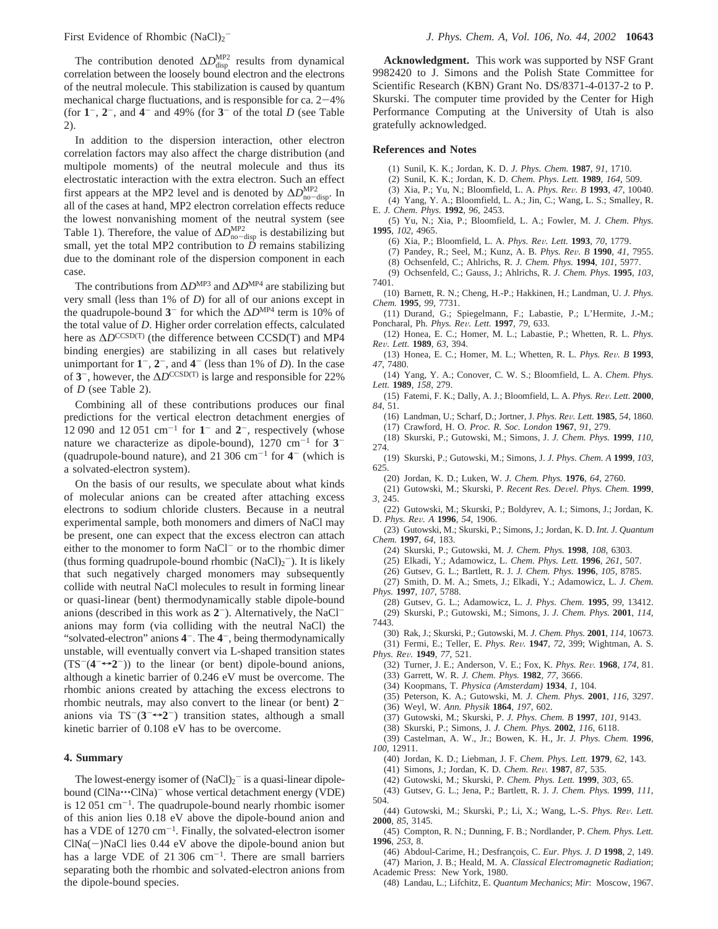The contribution denoted  $\Delta D_{\text{disp}}^{\text{MP2}}$  results from dynamical correlation between the loosely bound electron and the electrons of the neutral molecule. This stabilization is caused by quantum mechanical charge fluctuations, and is responsible for ca.  $2-4\%$ (for  $1^-, 2^-,$  and  $4^-$  and 49% (for  $3^-$  of the total *D* (see Table 2).

In addition to the dispersion interaction, other electron correlation factors may also affect the charge distribution (and multipole moments) of the neutral molecule and thus its electrostatic interaction with the extra electron. Such an effect first appears at the MP2 level and is denoted by  $\Delta D_{\text{mod}}^{\text{MP2}}$ . In all of the cases at hand MP2 electron correlation effects reduce all of the cases at hand, MP2 electron correlation effects reduce the lowest nonvanishing moment of the neutral system (see Table 1). Therefore, the value of  $\Delta D_{\text{mod}}^{\text{MP2}}$  is destabilizing but small, yet the total MP2 contribution to *D* remains stabilizing small, yet the total MP2 contribution to  $\overline{D}$  remains stabilizing due to the dominant role of the dispersion component in each case.

The contributions from ∆*D*MP3 and ∆*D*MP4 are stabilizing but very small (less than 1% of *D*) for all of our anions except in the quadrupole-bound **3**- for which the ∆*D*MP4 term is 10% of the total value of *D*. Higher order correlation effects, calculated here as Δ*D*<sup>CCSD(T)</sup> (the difference between CCSD(T) and MP4 binding energies) are stabilizing in all cases but relatively unimportant for  $1^-, 2^-,$  and  $4^-$  (less than 1% of *D*). In the case of  $3^-$ , however, the  $\Delta D^{\text{CCSD(T)}}$  is large and responsible for 22% of *D* (see Table 2).

Combining all of these contributions produces our final predictions for the vertical electron detachment energies of 12 090 and 12 051 cm<sup>-1</sup> for  $1<sup>-</sup>$  and  $2<sup>-</sup>$ , respectively (whose nature we characterize as dipole-bound),  $1270 \text{ cm}^{-1}$  for  $3$ <sup>-</sup> (quadrupole-bound nature), and 21 306 cm<sup>-1</sup> for  $4^-$  (which is a solvated-electron system).

On the basis of our results, we speculate about what kinds of molecular anions can be created after attaching excess electrons to sodium chloride clusters. Because in a neutral experimental sample, both monomers and dimers of NaCl may be present, one can expect that the excess electron can attach either to the monomer to form  $NaCl<sup>-</sup>$  or to the rhombic dimer (thus forming quadrupole-bound rhombic  $(NaCl)_2^-$ ). It is likely that such negatively charged monomers may subsequently collide with neutral NaCl molecules to result in forming linear or quasi-linear (bent) thermodynamically stable dipole-bound anions (described in this work as **2**-). Alternatively, the NaClanions may form (via colliding with the neutral NaCl) the "solvated-electron" anions  $4^-$ . The  $4^-$ , being thermodynamically unstable, will eventually convert via L-shaped transition states  $(TS^{-}(4^{-} \rightarrow 2^{-}))$  to the linear (or bent) dipole-bound anions, although a kinetic barrier of 0.246 eV must be overcome. The rhombic anions created by attaching the excess electrons to rhombic neutrals, may also convert to the linear (or bent) **2** anions via  $TS^{-}(3^{-}\rightarrow 2^{-})$  transition states, although a small kinetic barrier of 0.108 eV has to be overcome.

#### **4. Summary**

The lowest-energy isomer of  $(NaCl)<sub>2</sub>$  is a quasi-linear dipolebound (ClNa $\cdots$ ClNa)<sup>-</sup> whose vertical detachment energy (VDE) is  $12\,051\,\mathrm{cm}^{-1}$ . The quadrupole-bound nearly rhombic isomer of this anion lies 0.18 eV above the dipole-bound anion and has a VDE of  $1270 \text{ cm}^{-1}$ . Finally, the solvated-electron isomer  $CINa(-)NaCl$  lies 0.44 eV above the dipole-bound anion but has a large VDE of  $21\,306$  cm<sup>-1</sup>. There are small barriers separating both the rhombic and solvated-electron anions from the dipole-bound species.

**Acknowledgment.** This work was supported by NSF Grant 9982420 to J. Simons and the Polish State Committee for Scientific Research (KBN) Grant No. DS/8371-4-0137-2 to P. Skurski. The computer time provided by the Center for High Performance Computing at the University of Utah is also gratefully acknowledged.

#### **References and Notes**

(1) Sunil, K. K.; Jordan, K. D. *J. Phys. Chem.* **1987**, *91*, 1710.

- (2) Sunil, K. K.; Jordan, K. D. *Chem. Phys. Lett.* **1989**, *164*, 509.
- (3) Xia, P.; Yu, N.; Bloomfield, L. A. *Phys. Re*V*. B* **<sup>1993</sup>**, *<sup>47</sup>*, 10040.
- (4) Yang, Y. A.; Bloomfield, L. A.; Jin, C.; Wang, L. S.; Smalley, R. E. *J. Chem. Phys.* **1992**, *96*, 2453.
- (5) Yu, N.; Xia, P.; Bloomfield, L. A.; Fowler, M. *J. Chem. Phys.* **1995**, *102*, 4965.
	- (6) Xia, P.; Bloomfield, L. A. *Phys. Re*V*. Lett.* **<sup>1993</sup>**, *<sup>70</sup>*, 1779.
	- (7) Pandey, R.; Seel, M.; Kunz, A. B. *Phys. Re*V*. B* **<sup>1990</sup>**, *<sup>41</sup>*, 7955.
	- (8) Ochsenfeld, C.; Ahlrichs, R. *J. Chem. Phys.* **1994**, *101*, 5977.
- (9) Ochsenfeld, C.; Gauss, J.; Ahlrichs, R. *J. Chem. Phys.* **1995**, *103*, 7401.
- (10) Barnett, R. N.; Cheng, H.-P.; Hakkinen, H.; Landman, U. *J. Phys. Chem.* **1995**, *99*, 7731.
- (11) Durand, G.; Spiegelmann, F.; Labastie, P.; L'Hermite, J.-M.; Poncharal, Ph. *Phys. Re*V*. Lett.* **<sup>1997</sup>**, *<sup>79</sup>*, 633.
- (12) Honea, E. C.; Homer, M. L.; Labastie, P.; Whetten, R. L. *Phys. Re*V*. Lett.* **<sup>1989</sup>**, *<sup>63</sup>*, 394.
- (13) Honea, E. C.; Homer, M. L.; Whetten, R. L. *Phys. Re*V*. B* **<sup>1993</sup>**, *47*, 7480.
- (14) Yang, Y. A.; Conover, C. W. S.; Bloomfield, L. A. *Chem. Phys. Lett.* **1989**, *158*, 279.
- (15) Fatemi, F. K.; Dally, A. J.; Bloomfield, L. A. *Phys. Re*V*. Lett.* **<sup>2000</sup>**, *84*, 51.
- (16) Landman, U.; Scharf, D.; Jortner, J. *Phys. Re*V*. Lett.* **<sup>1985</sup>**, *<sup>54</sup>*, 1860. (17) Crawford, H. O. *Proc. R. Soc. London* **1967**, *91*, 279.
- (18) Skurski, P.; Gutowski, M.; Simons, J. *J. Chem. Phys.* **1999**, *110*, 274.
- (19) Skurski, P.; Gutowski, M.; Simons, J. *J. Phys. Chem. A* **1999**, *103*, 625.
- (20) Jordan, K. D.; Luken, W. *J. Chem. Phys.* **1976**, *64*, 2760.
- (21) Gutowski, M.; Skurski, P. *Recent Res. De*V*el. Phys. Chem.* **<sup>1999</sup>**, *3*, 245.
- (22) Gutowski, M.; Skurski, P.; Boldyrev, A. I.; Simons, J.; Jordan, K. D. *Phys. Re*V*. A* **<sup>1996</sup>**, *<sup>54</sup>*, 1906.
- (23) Gutowski, M.; Skurski, P.; Simons, J.; Jordan, K. D. *Int. J. Quantum Chem.* **1997**, *64*, 183.
	- (24) Skurski, P.; Gutowski, M. *J. Chem. Phys.* **1998**, *108*, 6303.
	- (25) Elkadi, Y.; Adamowicz, L. *Chem. Phys. Lett.* **1996**, *261*, 507.
	- (26) Gutsev, G. L.; Bartlett, R. J. *J. Chem. Phys.* **1996**, *105*, 8785.
- (27) Smith, D. M. A.; Smets, J.; Elkadi, Y.; Adamowicz, L. *J. Chem. Phys.* **1997**, *107*, 5788.
	- (28) Gutsev, G. L.; Adamowicz, L. *J. Phys. Chem.* **1995**, *99*, 13412. (29) Skurski, P.; Gutowski, M.; Simons, J. *J. Chem. Phys.* **2001**, *114*,
- 7443.
- (30) Rak, J.; Skurski, P.; Gutowski, M. *J. Chem. Phys.* **2001**, *114*, 10673. (31) Fermi, E.; Teller, E. *Phys. Re*V*.* **<sup>1947</sup>**, *<sup>72</sup>*, 399; Wightman, A. S. *Phys. Re*V*.* **<sup>1949</sup>**, *<sup>77</sup>*, 521.
	- (32) Turner, J. E.; Anderson, V. E.; Fox, K. *Phys. Re*V*.* **<sup>1968</sup>**, *<sup>174</sup>*, 81.
	- (33) Garrett, W. R. *J. Chem. Phys.* **1982**, *77*, 3666.
	- (34) Koopmans, T. *Physica (Amsterdam)* **1934**, *1*, 104.
	- (35) Peterson, K. A.; Gutowski, M. *J. Chem. Phys.* **2001**, *116*, 3297.
	- (36) Weyl, W. *Ann. Physik* **1864**, *197*, 602.
	- (37) Gutowski, M.; Skurski, P. *J. Phys. Chem. B* **1997**, *101*, 9143.
	- (38) Skurski, P.; Simons, J. *J. Chem. Phys.* **2002**, *116*, 6118.
- (39) Castelman, A. W., Jr.; Bowen, K. H., Jr. *J. Phys. Chem.* **1996**, *100*, 12911.
	- (40) Jordan, K. D.; Liebman, J. F. *Chem. Phys. Lett.* **1979**, *62*, 143.
	- (41) Simons, J.; Jordan, K. D. *Chem. Re*V*.* **<sup>1987</sup>**, *<sup>87</sup>*, 535.
	- (42) Gutowski, M.; Skurski, P. *Chem. Phys. Lett.* **1999**, *303*, 65.
- (43) Gutsev, G. L.; Jena, P.; Bartlett, R. J. *J. Chem. Phys.* **1999**, *111*, 504.
- (44) Gutowski, M.; Skurski, P.; Li, X.; Wang, L.-S. *Phys. Re*V*. Lett.* **2000**, *85*, 3145.
- (45) Compton, R. N.; Dunning, F. B.; Nordlander, P. *Chem. Phys. Lett.* **1996**, *253*, 8.
- (46) Abdoul-Carime, H.; Desfrançois, C. *Eur. Phys. J. D* **1998**, 2, 149.
- (47) Marion, J. B.; Heald, M. A. *Classical Electromagnetic Radiation*; Academic Press: New York, 1980.
- (48) Landau, L.; Lifchitz, E. *Quantum Mechanics*; *Mir*: Moscow, 1967.